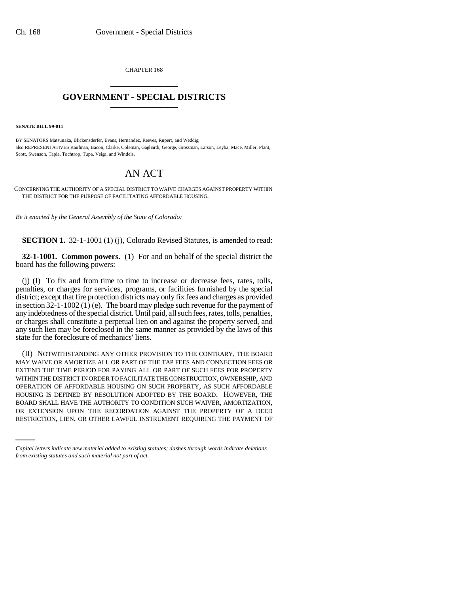CHAPTER 168 \_\_\_\_\_\_\_\_\_\_\_\_\_\_\_

## **GOVERNMENT - SPECIAL DISTRICTS** \_\_\_\_\_\_\_\_\_\_\_\_\_\_\_

**SENATE BILL 99-011**

BY SENATORS Matsunaka, Blickensderfer, Evans, Hernandez, Reeves, Rupert, and Weddig; also REPRESENTATIVES Kaufman, Bacon, Clarke, Coleman, Gagliardi, George, Grossman, Larson, Leyba, Mace, Miller, Plant, Scott, Swenson, Tapia, Tochtrop, Tupa, Veiga, and Windels.

## AN ACT

CONCERNING THE AUTHORITY OF A SPECIAL DISTRICT TO WAIVE CHARGES AGAINST PROPERTY WITHIN THE DISTRICT FOR THE PURPOSE OF FACILITATING AFFORDABLE HOUSING.

*Be it enacted by the General Assembly of the State of Colorado:*

**SECTION 1.** 32-1-1001 (1) (j), Colorado Revised Statutes, is amended to read:

**32-1-1001. Common powers.** (1) For and on behalf of the special district the board has the following powers:

(j) (I) To fix and from time to time to increase or decrease fees, rates, tolls, penalties, or charges for services, programs, or facilities furnished by the special district; except that fire protection districts may only fix fees and charges as provided in section 32-1-1002 (1) (e). The board may pledge such revenue for the payment of any indebtedness of the special district. Until paid, all such fees, rates, tolls, penalties, or charges shall constitute a perpetual lien on and against the property served, and any such lien may be foreclosed in the same manner as provided by the laws of this state for the foreclosure of mechanics' liens.

BOARD SHALL HAVE THE AUTHORITY TO CONDITION SUCH WAIVER, AMORTIZATION, (II) NOTWITHSTANDING ANY OTHER PROVISION TO THE CONTRARY, THE BOARD MAY WAIVE OR AMORTIZE ALL OR PART OF THE TAP FEES AND CONNECTION FEES OR EXTEND THE TIME PERIOD FOR PAYING ALL OR PART OF SUCH FEES FOR PROPERTY WITHIN THE DISTRICT IN ORDER TO FACILITATE THE CONSTRUCTION, OWNERSHIP, AND OPERATION OF AFFORDABLE HOUSING ON SUCH PROPERTY, AS SUCH AFFORDABLE HOUSING IS DEFINED BY RESOLUTION ADOPTED BY THE BOARD. HOWEVER, THE OR EXTENSION UPON THE RECORDATION AGAINST THE PROPERTY OF A DEED RESTRICTION, LIEN, OR OTHER LAWFUL INSTRUMENT REQUIRING THE PAYMENT OF

*Capital letters indicate new material added to existing statutes; dashes through words indicate deletions from existing statutes and such material not part of act.*